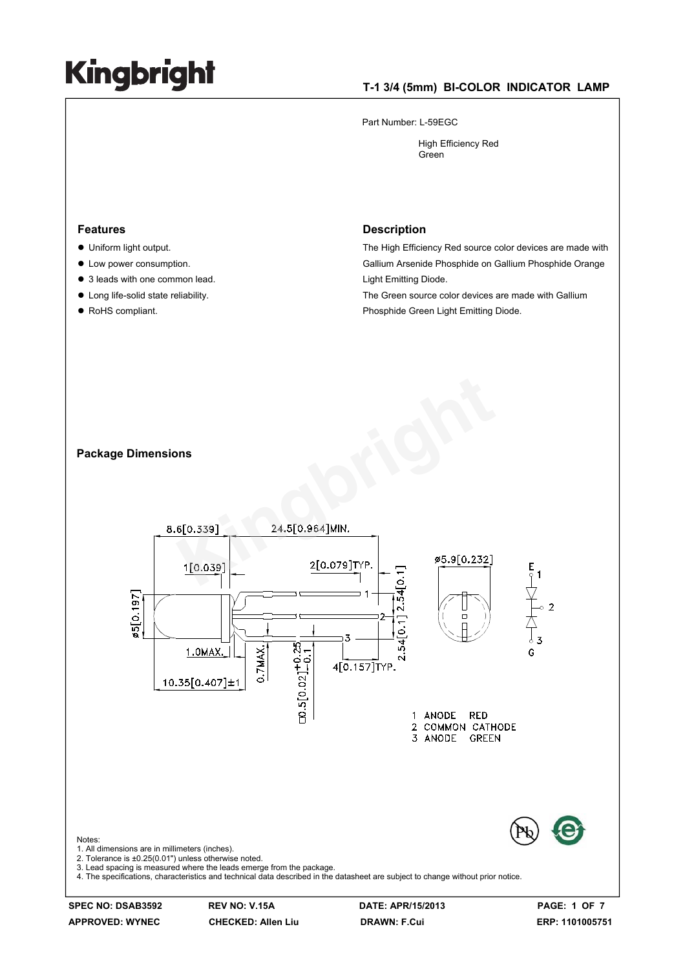#### **T-1 3/4 (5mm) BI-COLOR INDICATOR LAMP**

Part Number: L-59EGC

 High Efficiency Red Green

#### **Features**

- $\bullet$  Uniform light output.
- Low power consumption.
- 3 leads with one common lead.
- $\bullet$  Long life-solid state reliability.
- RoHS compliant.

#### **Description**

The High Efficiency Red source color devices are made with Gallium Arsenide Phosphide on Gallium Phosphide Orange Light Emitting Diode.

The Green source color devices are made with Gallium Phosphide Green Light Emitting Diode.

#### **Package Dimensions**



**APPROVED: WYNEC CHECKED: Allen Liu DRAWN: F.Cui ERP: 1101005751**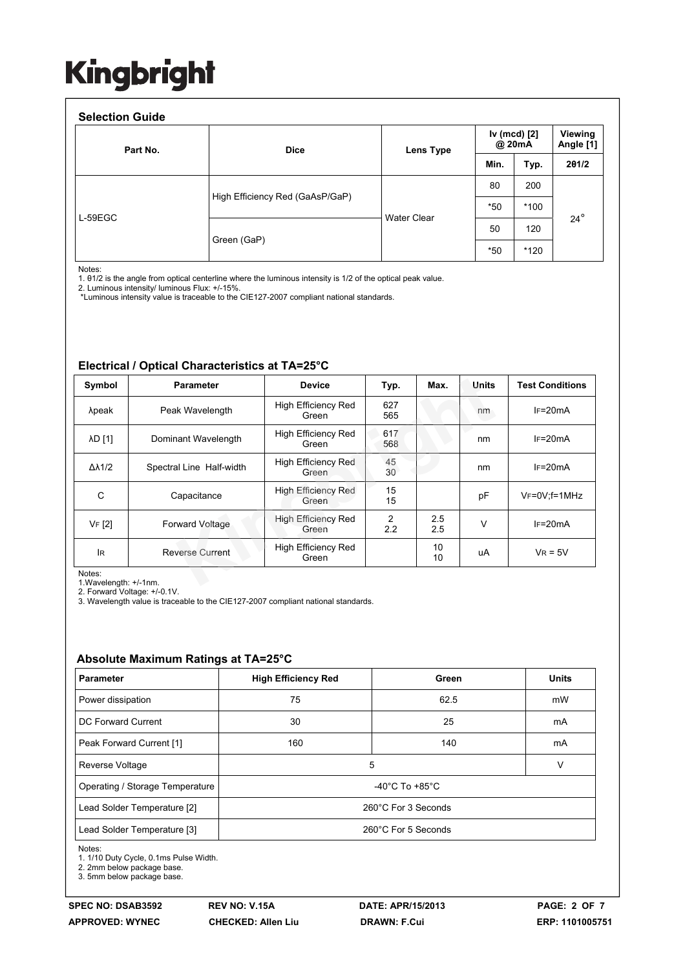#### **Selection Guide**

| Part No.  | <b>Dice</b>                     | Lens Type          |       | Iv (mcd) [2]<br>@ 20mA |            |
|-----------|---------------------------------|--------------------|-------|------------------------|------------|
|           |                                 |                    | Min.  | Typ.                   | 201/2      |
|           | High Efficiency Red (GaAsP/GaP) | <b>Water Clear</b> | 80    | 200                    | $24^\circ$ |
|           |                                 |                    | $*50$ | $*100$                 |            |
| $L-59EGC$ | Green (GaP)                     |                    | 50    | 120                    |            |
|           |                                 |                    | $*50$ | $*120$                 |            |

Notes:

1. θ1/2 is the angle from optical centerline where the luminous intensity is 1/2 of the optical peak value.

2. Luminous intensity/ luminous Flux: +/-15%.

\*Luminous intensity value is traceable to the CIE127-2007 compliant national standards.

#### **Electrical / Optical Characteristics at TA=25°C**

| Symbol                              | <b>Parameter</b>         | <b>Device</b>                       | Typ.       | Max.       | Units           | <b>Test Conditions</b> |
|-------------------------------------|--------------------------|-------------------------------------|------------|------------|-----------------|------------------------|
| λpeak                               | Peak Wavelength          | <b>High Efficiency Red</b><br>Green | 627<br>565 |            | nm              | $IF=20mA$              |
| <b>AD [1]</b>                       | Dominant Wavelength      | <b>High Efficiency Red</b><br>Green | 617<br>568 |            | $IF=20mA$<br>nm |                        |
| $\Delta\lambda$ 1/2                 | Spectral Line Half-width | <b>High Efficiency Red</b><br>Green | 45<br>30   |            | nm              | $IF=20mA$              |
| C                                   | Capacitance              | High Efficiency Red<br>Green        | 15<br>15   |            | pF              | $V_F = 0V$ ; f=1MHz    |
| VF [2]                              | <b>Forward Voltage</b>   | <b>High Efficiency Red</b><br>Green | 2<br>2.2   | 2.5<br>2.5 | v               | $IF=20mA$              |
| lR.                                 | <b>Reverse Current</b>   | High Efficiency Red<br>Green        |            | 10<br>10   | uA              | $V_R = 5V$             |
| Notes:<br>1. Wavelength: $+/-1$ nm. |                          |                                     |            |            |                 |                        |

1.Wavelength: +/-1nm.

2. Forward Voltage: +/-0.1V. 3. Wavelength value is traceable to the CIE127-2007 compliant national standards.

#### **Absolute Maximum Ratings at TA=25°C**

| <b>Parameter</b>                | <b>High Efficiency Red</b>           | Green | <b>Units</b> |  |  |
|---------------------------------|--------------------------------------|-------|--------------|--|--|
| Power dissipation               | 75                                   | 62.5  | mW           |  |  |
| DC Forward Current              | 30                                   | 25    | mA           |  |  |
| Peak Forward Current [1]        | 160                                  | 140   | mA           |  |  |
| Reverse Voltage                 | 5<br>V                               |       |              |  |  |
| Operating / Storage Temperature | -40 $^{\circ}$ C To +85 $^{\circ}$ C |       |              |  |  |
| Lead Solder Temperature [2]     | 260°C For 3 Seconds                  |       |              |  |  |
| Lead Solder Temperature [3]     | 260°C For 5 Seconds                  |       |              |  |  |

Notes:

1. 1/10 Duty Cycle, 0.1ms Pulse Width.

2. 2mm below package base.

3. 5mm below package base.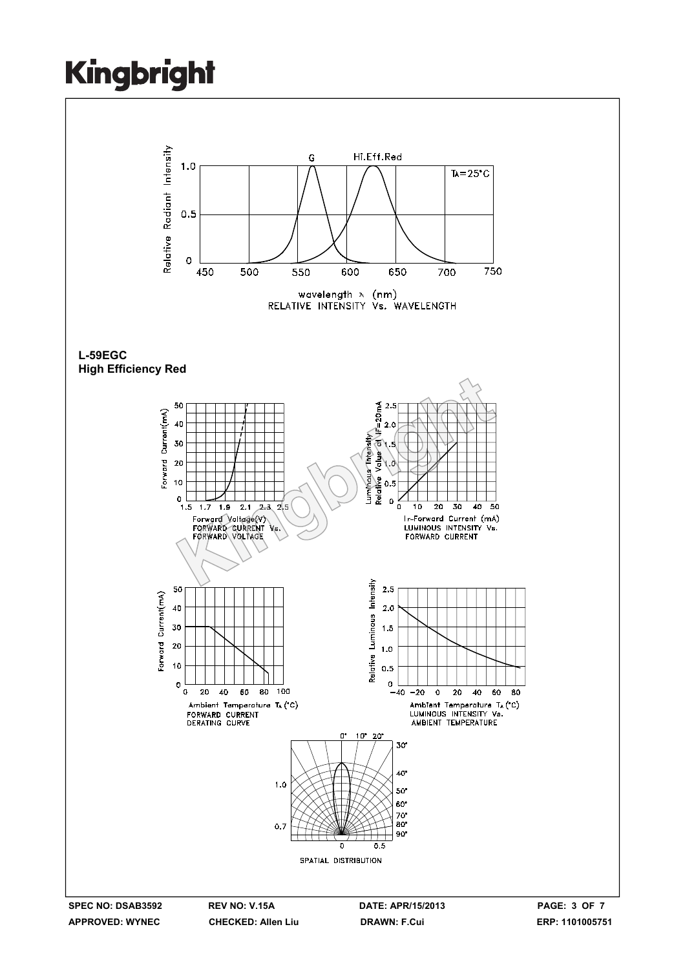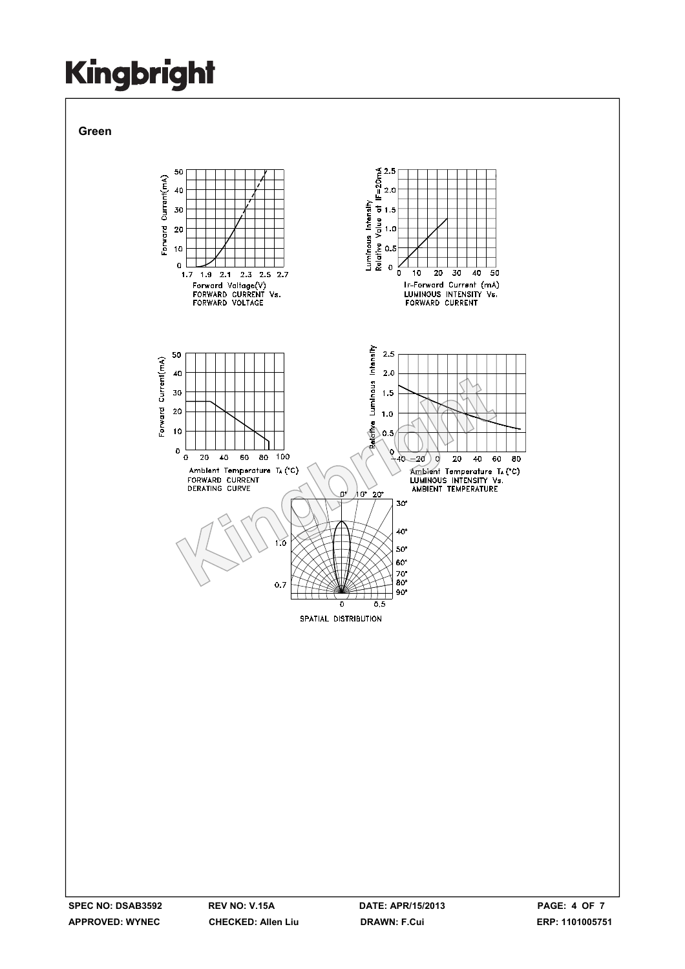**Green**

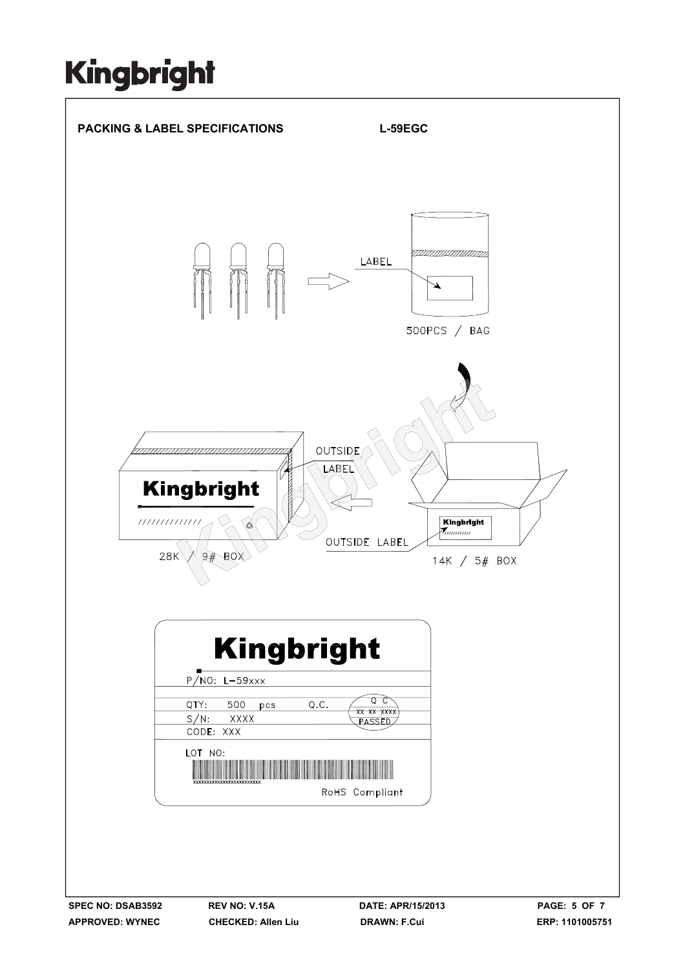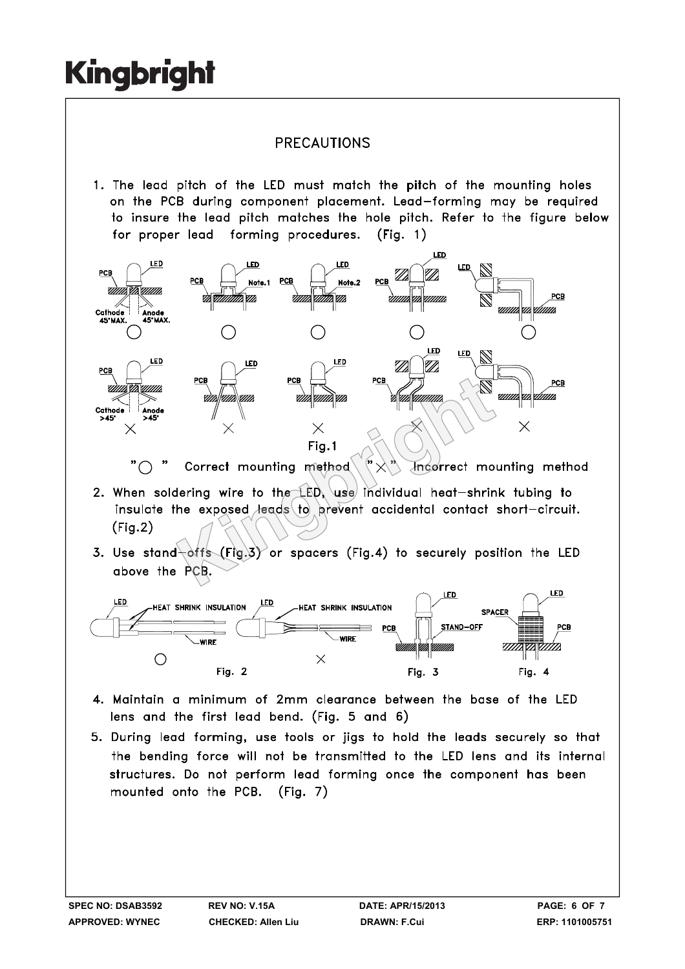### **PRECAUTIONS**

1. The lead pitch of the LED must match the pitch of the mounting holes on the PCB during component placement. Lead-forming may be required to insure the lead pitch matches the hole pitch. Refer to the figure below for proper lead forming procedures.  $(Fia. 1)$ 



 $" \bigcap$ 

- $(Fig.2)$
- 



- 4. Maintain a minimum of 2mm clearance between the base of the LED lens and the first lead bend. (Fig. 5 and 6)
- 5. During lead forming, use tools or jigs to hold the leads securely so that the bending force will not be transmitted to the LED lens and its internal structures. Do not perform lead forming once the component has been mounted onto the PCB. (Fig. 7)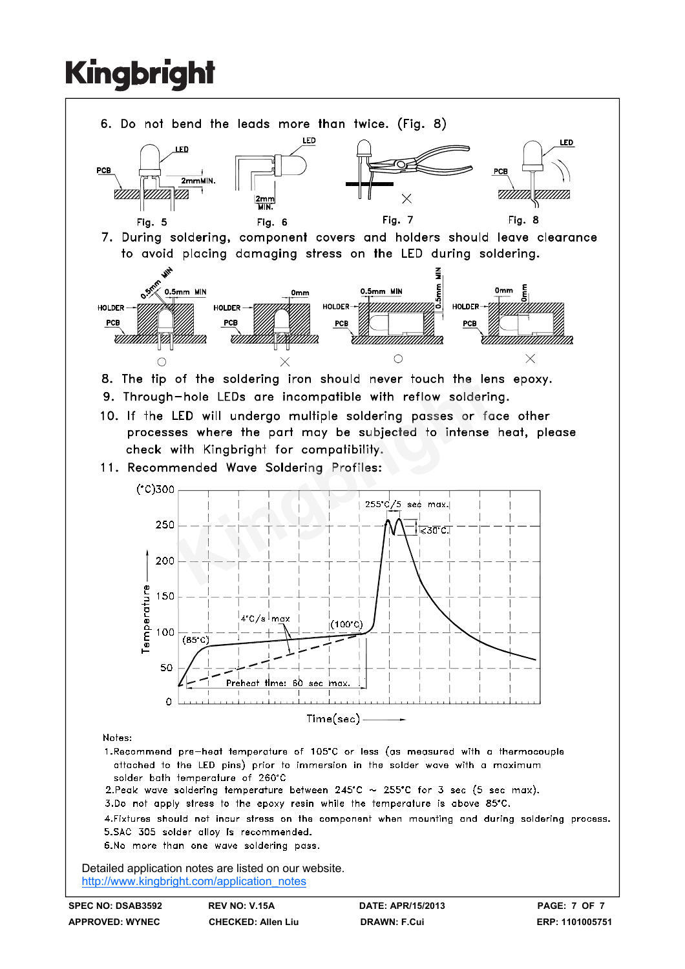